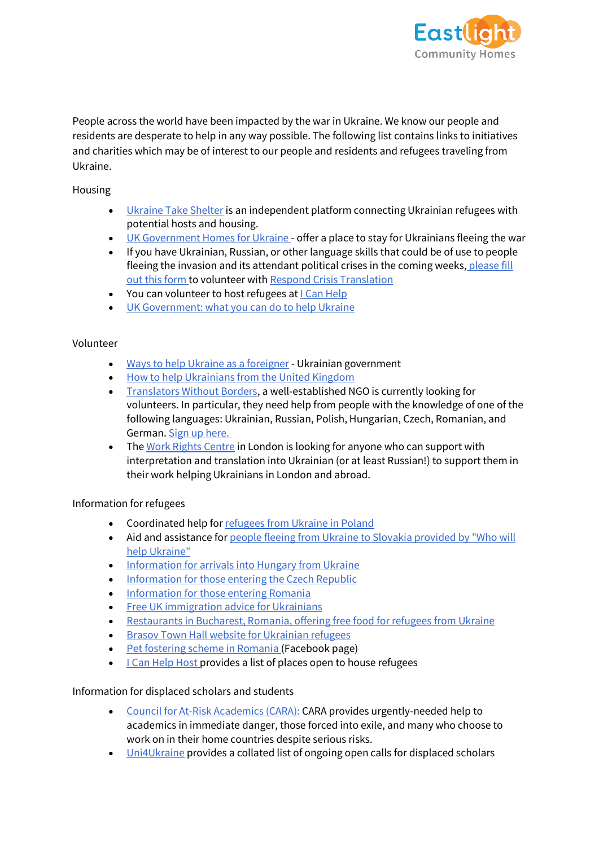

People across the world have been impacted by the war in Ukraine. We know our people and residents are desperate to help in any way possible. The following list contains links to initiatives and charities which may be of interest to our people and residents and refugees traveling from Ukraine.

Housing

- [Ukraine Take Shelter](https://www.ukrainetakeshelter.com/) is an independent platform connecting Ukrainian refugees with potential hosts and housing.
- [UK Government Homes for Ukraine](https://homesforukraine.campaign.gov.uk/?fbclid=IwAR1n_NqT5AlO_nEECiv67LYyQa_FNcl-jkKcMFkpUAGHvhhjqiHg27xhN4U) offer a place to stay for Ukrainians fleeing the war
- If you have Ukrainian, Russian, or other language skills that could be of use to people fleeing the invasion and its attendant political crises in the coming weeks, please fill [out this form](https://respondcrisistranslation.org/en/get-involved) to volunteer with [Respond Crisis Translation](https://www.facebook.com/respondcrisistranslation/?__cft__%5B0%5D=AZVepH72blII8cylrxZCjNDASY13e-l1MN_2B_ZtUXyZ5OXQJeeHFwybTNyqvx8RzUPTj2CcPS5PXvsi4LogpVZCGrOX_9cR6cCAew9s4XBo-rcMZuhwkKES2DfLbvGkh8pX_q9s0ni2Egke6J-wD3Kbcwieijuqzxe1UEluAUCtHuElWZXfKRGH-93YcBEaP5nNN5kEF085iJXr7wpNJDfI&__tn__=kK-y-R)
- You can volunteer to host refugees at [I Can Help](https://icanhelp.host/)
- [UK Government: what you can do to help Ukraine](https://www.gov.uk/government/news/ukraine-what-you-can-do-to-help)

## Volunteer

- [Ways to help Ukraine as a foreigner](https://how-to-help-ukraine-now.super.site/) Ukrainian government
- [How to help Ukrainians from the United Kingdom](https://how-to-help-ukraine-now.super.site/help-translate/united-kingdom)
- [Translators Without Borders,](https://translatorswithoutborders.org/) a well-established NGO is currently looking for volunteers. In particular, they need help from people with the knowledge of one of the following languages: Ukrainian, Russian, Polish, Hungarian, Czech, Romanian, and German. [Sign up here.](https://docs.google.com/forms/d/e/1FAIpQLSeotkpoa-9DGccuRTSbNSXNjmt3TU9ULF4qJUvRl0GJOaJnSQ/viewform)
- The [Work Rights Centre](https://t.co/SW9V4MGW3n) in London is looking for anyone who can support with interpretation and translation into Ukrainian (or at least Russian!) to support them in their work helping Ukrainians in London and abroad.

## Information for refugees

- Coordinated help for [refugees from Ukraine in Poland](https://pomagamukrainie.gov.pl/)
- Aid and assistance for people fleeing from Ukraine to Slovakia provided by "Who will [help Ukraine"](https://ktopomozeukrajine.sk/)
- [Information for arrivals into Hungary from Ukraine](https://help.unhcr.org/hungary/)
- [Information for those entering the Czech Republic](https://www.nasiukrajinci.cz/)
- [Information for those entering Romania](https://dopomoha.ro/en?fbclid=IwAR2bvPUi6PJBL_vU395IjOJ2-dB5AzsUdA_pg1G_abgjcIhX0DoHeD9z2X4)
- Free [UK immigration advice for Ukrainians](https://advice-ukraine.co.uk/)
- [Restaurants in Bucharest, Romania, offering free food for refugees from Ukraine](https://www.de-corina.ro/index.php/2022/02/28/bucharest-restaurants-list-offering-free-meals-to-ukrainian-refugees/)
- [Brasov Town Hall website for Ukrainian refugees](https://ua.brasovcity.ro/?fbclid=IwAR1Kw4SdepPt7V_8maA6qAvZROXhjUtR4idzrVdfwLVjll4NWKkQlTchI3c)
- Pet [fostering scheme in Romania](https://www.facebook.com/RedPanda.Romania/photos/a.303993089690924/5019314511492068) (Facebook page)
- [I Can Help Host](https://icanhelp.host/) provides a list of places open to house refugees

## Information for displaced scholars and students

- [Council for At-Risk Academics \(CARA\):](https://www.cara.ngo/) CARA provides urgently-needed help to academics in immediate danger, those forced into exile, and many who choose to work on in their home countries despite serious risks.
- [Uni4Ukraine](https://uni4ukraine.unibuc.ro/en/academic-solidarity/international-resources?fbclid=IwAR1IVOEn4VEMnZOhJHS0tS5WCnvcTEstSo6JbBe4vTvtvIvI06jZNj4bP8c) provides a collated list of ongoing open calls for displaced scholars